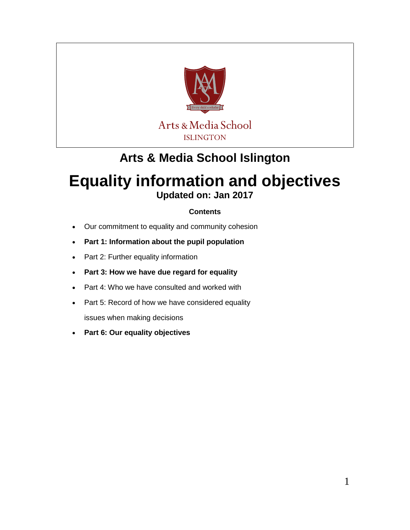

## **Arts & Media School Islington**

# **Equality information and objectives**

**Updated on: Jan 2017**

### **Contents**

- Our commitment to equality and community cohesion
- **Part 1: Information about the pupil population**
- Part 2: Further equality information
- **Part 3: How we have due regard for equality**
- Part 4: Who we have consulted and worked with
- Part 5: Record of how we have considered equality

issues when making decisions

**Part 6: Our equality objectives**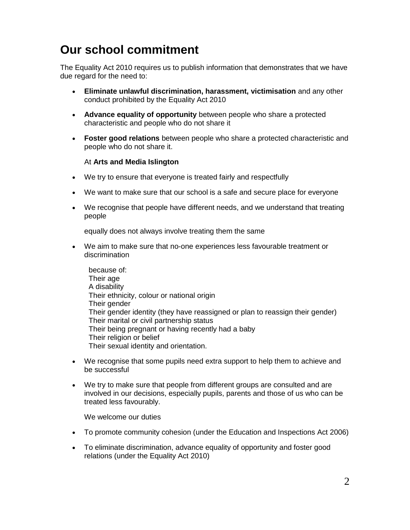## **Our school commitment**

The Equality Act 2010 requires us to publish information that demonstrates that we have due regard for the need to:

- **Eliminate unlawful discrimination, harassment, victimisation** and any other conduct prohibited by the Equality Act 2010
- **Advance equality of opportunity** between people who share a protected characteristic and people who do not share it
- **Foster good relations** between people who share a protected characteristic and people who do not share it.

#### At **Arts and Media Islington**

- We try to ensure that everyone is treated fairly and respectfully
- We want to make sure that our school is a safe and secure place for everyone
- We recognise that people have different needs, and we understand that treating people

equally does not always involve treating them the same

 We aim to make sure that no-one experiences less favourable treatment or discrimination

because of: Their age A disability Their ethnicity, colour or national origin Their gender Their gender identity (they have reassigned or plan to reassign their gender) Their marital or civil partnership status Their being pregnant or having recently had a baby Their religion or belief Their sexual identity and orientation.

- We recognise that some pupils need extra support to help them to achieve and be successful
- We try to make sure that people from different groups are consulted and are involved in our decisions, especially pupils, parents and those of us who can be treated less favourably.

We welcome our duties

- To promote community cohesion (under the Education and Inspections Act 2006)
- To eliminate discrimination, advance equality of opportunity and foster good relations (under the Equality Act 2010)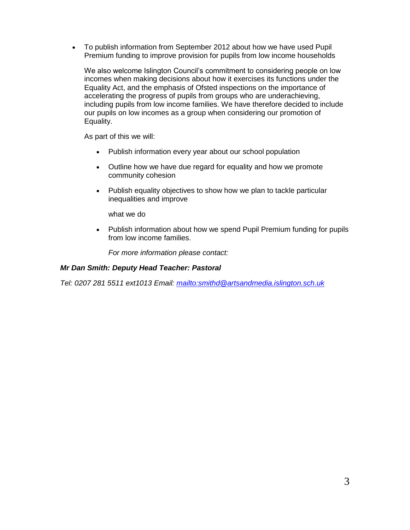To publish information from September 2012 about how we have used Pupil Premium funding to improve provision for pupils from low income households

We also welcome Islington Council's commitment to considering people on low incomes when making decisions about how it exercises its functions under the Equality Act, and the emphasis of Ofsted inspections on the importance of accelerating the progress of pupils from groups who are underachieving, including pupils from low income families. We have therefore decided to include our pupils on low incomes as a group when considering our promotion of Equality.

As part of this we will:

- Publish information every year about our school population
- Outline how we have due regard for equality and how we promote community cohesion
- Publish equality objectives to show how we plan to tackle particular inequalities and improve

what we do

 Publish information about how we spend Pupil Premium funding for pupils from low income families.

*For more information please contact:* 

#### *Mr Dan Smith: Deputy Head Teacher: Pastoral*

*Tel: 0207 281 5511 ext1013 Email:<mailto:smithd@artsandmedia.islington.sch.uk>*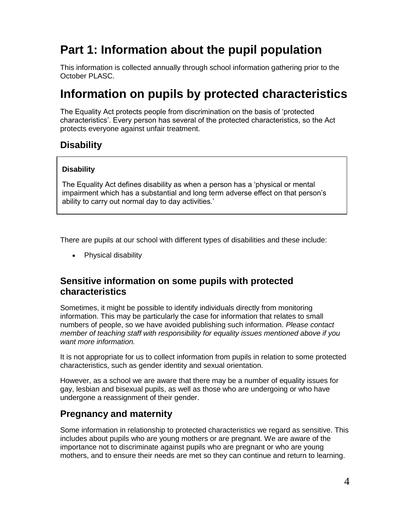## **Part 1: Information about the pupil population**

This information is collected annually through school information gathering prior to the October PLASC.

## **Information on pupils by protected characteristics**

The Equality Act protects people from discrimination on the basis of 'protected characteristics'. Every person has several of the protected characteristics, so the Act protects everyone against unfair treatment.

### **Disability**

#### **Disability**

The Equality Act defines disability as when a person has a 'physical or mental impairment which has a substantial and long term adverse effect on that person's ability to carry out normal day to day activities.'

There are pupils at our school with different types of disabilities and these include:

• Physical disability

### **Sensitive information on some pupils with protected characteristics**

Sometimes, it might be possible to identify individuals directly from monitoring information. This may be particularly the case for information that relates to small numbers of people, so we have avoided publishing such information. *Please contact member of teaching staff with responsibility for equality issues mentioned above if you want more information.* 

It is not appropriate for us to collect information from pupils in relation to some protected characteristics, such as gender identity and sexual orientation.

However, as a school we are aware that there may be a number of equality issues for gay, lesbian and bisexual pupils, as well as those who are undergoing or who have undergone a reassignment of their gender.

### **Pregnancy and maternity**

Some information in relationship to protected characteristics we regard as sensitive. This includes about pupils who are young mothers or are pregnant. We are aware of the importance not to discriminate against pupils who are pregnant or who are young mothers, and to ensure their needs are met so they can continue and return to learning.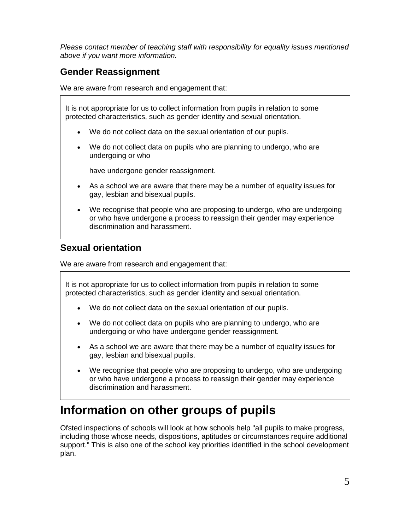*Please contact member of teaching staff with responsibility for equality issues mentioned above if you want more information.* 

## **Gender Reassignment**

We are aware from research and engagement that:

It is not appropriate for us to collect information from pupils in relation to some protected characteristics, such as gender identity and sexual orientation.

- We do not collect data on the sexual orientation of our pupils.
- We do not collect data on pupils who are planning to undergo, who are undergoing or who

have undergone gender reassignment.

- As a school we are aware that there may be a number of equality issues for gay, lesbian and bisexual pupils.
- We recognise that people who are proposing to undergo, who are undergoing or who have undergone a process to reassign their gender may experience discrimination and harassment.

### **Sexual orientation**

We are aware from research and engagement that:

It is not appropriate for us to collect information from pupils in relation to some protected characteristics, such as gender identity and sexual orientation.

- We do not collect data on the sexual orientation of our pupils.
- We do not collect data on pupils who are planning to undergo, who are undergoing or who have undergone gender reassignment.
- As a school we are aware that there may be a number of equality issues for gay, lesbian and bisexual pupils.
- We recognise that people who are proposing to undergo, who are undergoing or who have undergone a process to reassign their gender may experience discrimination and harassment.

## **Information on other groups of pupils**

Ofsted inspections of schools will look at how schools help "all pupils to make progress, including those whose needs, dispositions, aptitudes or circumstances require additional support." This is also one of the school key priorities identified in the school development plan.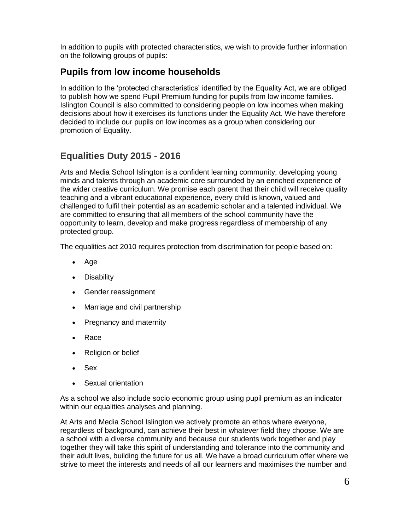In addition to pupils with protected characteristics, we wish to provide further information on the following groups of pupils:

## **Pupils from low income households**

In addition to the 'protected characteristics' identified by the Equality Act, we are obliged to publish how we spend Pupil Premium funding for pupils from low income families. Islington Council is also committed to considering people on low incomes when making decisions about how it exercises its functions under the Equality Act. We have therefore decided to include our pupils on low incomes as a group when considering our promotion of Equality.

## **Equalities Duty 2015 - 2016**

Arts and Media School Islington is a confident learning community; developing young minds and talents through an academic core surrounded by an enriched experience of the wider creative curriculum. We promise each parent that their child will receive quality teaching and a vibrant educational experience, every child is known, valued and challenged to fulfil their potential as an academic scholar and a talented individual. We are committed to ensuring that all members of the school community have the opportunity to learn, develop and make progress regardless of membership of any protected group.

The equalities act 2010 requires protection from discrimination for people based on:

- Age
- Disability
- Gender reassignment
- Marriage and civil partnership
- Pregnancy and maternity
- Race
- Religion or belief
- Sex
- Sexual orientation

As a school we also include socio economic group using pupil premium as an indicator within our equalities analyses and planning.

At Arts and Media School Islington we actively promote an ethos where everyone, regardless of background, can achieve their best in whatever field they choose. We are a school with a diverse community and because our students work together and play together they will take this spirit of understanding and tolerance into the community and their adult lives, building the future for us all. We have a broad curriculum offer where we strive to meet the interests and needs of all our learners and maximises the number and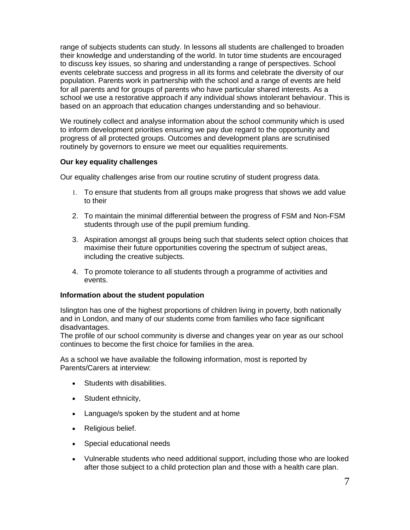range of subjects students can study. In lessons all students are challenged to broaden their knowledge and understanding of the world. In tutor time students are encouraged to discuss key issues, so sharing and understanding a range of perspectives. School events celebrate success and progress in all its forms and celebrate the diversity of our population. Parents work in partnership with the school and a range of events are held for all parents and for groups of parents who have particular shared interests. As a school we use a restorative approach if any individual shows intolerant behaviour. This is based on an approach that education changes understanding and so behaviour.

We routinely collect and analyse information about the school community which is used to inform development priorities ensuring we pay due regard to the opportunity and progress of all protected groups. Outcomes and development plans are scrutinised routinely by governors to ensure we meet our equalities requirements.

#### **Our key equality challenges**

Our equality challenges arise from our routine scrutiny of student progress data.

- 1. To ensure that students from all groups make progress that shows we add value to their
- 2. To maintain the minimal differential between the progress of FSM and Non-FSM students through use of the pupil premium funding.
- 3. Aspiration amongst all groups being such that students select option choices that maximise their future opportunities covering the spectrum of subject areas, including the creative subjects.
- 4. To promote tolerance to all students through a programme of activities and events.

#### **Information about the student population**

Islington has one of the highest proportions of children living in poverty, both nationally and in London, and many of our students come from families who face significant disadvantages.

The profile of our school community is diverse and changes year on year as our school continues to become the first choice for families in the area.

As a school we have available the following information, most is reported by Parents/Carers at interview:

- Students with disabilities.
- Student ethnicity,
- Language/s spoken by the student and at home
- Religious belief.
- Special educational needs
- Vulnerable students who need additional support, including those who are looked after those subject to a child protection plan and those with a health care plan.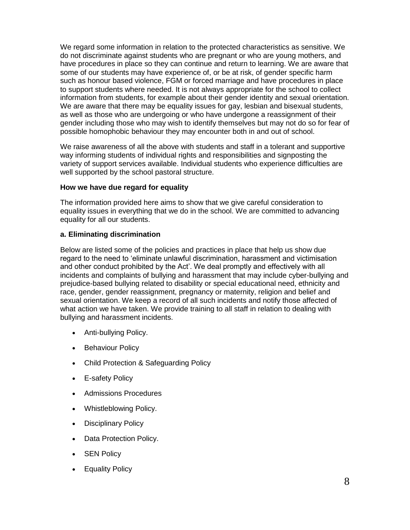We regard some information in relation to the protected characteristics as sensitive. We do not discriminate against students who are pregnant or who are young mothers, and have procedures in place so they can continue and return to learning. We are aware that some of our students may have experience of, or be at risk, of gender specific harm such as honour based violence, FGM or forced marriage and have procedures in place to support students where needed. It is not always appropriate for the school to collect information from students, for example about their gender identity and sexual orientation. We are aware that there may be equality issues for gay, lesbian and bisexual students, as well as those who are undergoing or who have undergone a reassignment of their gender including those who may wish to identify themselves but may not do so for fear of possible homophobic behaviour they may encounter both in and out of school.

We raise awareness of all the above with students and staff in a tolerant and supportive way informing students of individual rights and responsibilities and signposting the variety of support services available. Individual students who experience difficulties are well supported by the school pastoral structure.

#### **How we have due regard for equality**

The information provided here aims to show that we give careful consideration to equality issues in everything that we do in the school. We are committed to advancing equality for all our students.

#### **a. Eliminating discrimination**

Below are listed some of the policies and practices in place that help us show due regard to the need to 'eliminate unlawful discrimination, harassment and victimisation and other conduct prohibited by the Act'. We deal promptly and effectively with all incidents and complaints of bullying and harassment that may include cyber-bullying and prejudice-based bullying related to disability or special educational need, ethnicity and race, gender, gender reassignment, pregnancy or maternity, religion and belief and sexual orientation. We keep a record of all such incidents and notify those affected of what action we have taken. We provide training to all staff in relation to dealing with bullying and harassment incidents.

- Anti-bullying Policy.
- Behaviour Policy
- Child Protection & Safeguarding Policy
- E-safety Policy
- Admissions Procedures
- Whistleblowing Policy.
- Disciplinary Policy
- Data Protection Policy.
- SEN Policy
- Equality Policy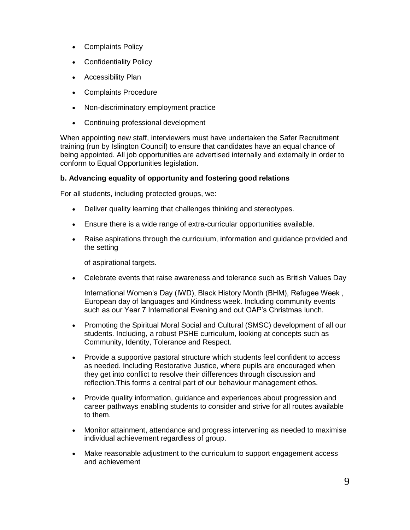- Complaints Policy
- Confidentiality Policy
- Accessibility Plan
- Complaints Procedure
- Non-discriminatory employment practice
- Continuing professional development

When appointing new staff, interviewers must have undertaken the Safer Recruitment training (run by Islington Council) to ensure that candidates have an equal chance of being appointed. All job opportunities are advertised internally and externally in order to conform to Equal Opportunities legislation.

#### **b. Advancing equality of opportunity and fostering good relations**

For all students, including protected groups, we:

- Deliver quality learning that challenges thinking and stereotypes.
- Ensure there is a wide range of extra-curricular opportunities available.
- Raise aspirations through the curriculum, information and guidance provided and the setting

of aspirational targets.

Celebrate events that raise awareness and tolerance such as British Values Day

International Women's Day (IWD), Black History Month (BHM), Refugee Week , European day of languages and Kindness week. Including community events such as our Year 7 International Evening and out OAP's Christmas lunch.

- Promoting the Spiritual Moral Social and Cultural (SMSC) development of all our students. Including, a robust PSHE curriculum, looking at concepts such as Community, Identity, Tolerance and Respect.
- Provide a supportive pastoral structure which students feel confident to access as needed. Including Restorative Justice, where pupils are encouraged when they get into conflict to resolve their differences through discussion and reflection.This forms a central part of our behaviour management ethos.
- Provide quality information, guidance and experiences about progression and career pathways enabling students to consider and strive for all routes available to them.
- Monitor attainment, attendance and progress intervening as needed to maximise individual achievement regardless of group.
- Make reasonable adjustment to the curriculum to support engagement access and achievement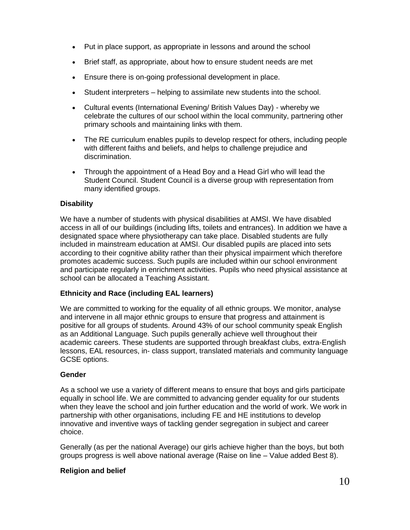- Put in place support, as appropriate in lessons and around the school
- Brief staff, as appropriate, about how to ensure student needs are met
- Ensure there is on-going professional development in place.
- Student interpreters helping to assimilate new students into the school.
- Cultural events (International Evening/ British Values Day) whereby we celebrate the cultures of our school within the local community, partnering other primary schools and maintaining links with them.
- The RE curriculum enables pupils to develop respect for others, including people with different faiths and beliefs, and helps to challenge prejudice and discrimination.
- Through the appointment of a Head Boy and a Head Girl who will lead the Student Council. Student Council is a diverse group with representation from many identified groups.

#### **Disability**

We have a number of students with physical disabilities at AMSI. We have disabled access in all of our buildings (including lifts, toilets and entrances). In addition we have a designated space where physiotherapy can take place. Disabled students are fully included in mainstream education at AMSI. Our disabled pupils are placed into sets according to their cognitive ability rather than their physical impairment which therefore promotes academic success. Such pupils are included within our school environment and participate regularly in enrichment activities. Pupils who need physical assistance at school can be allocated a Teaching Assistant.

#### **Ethnicity and Race (including EAL learners)**

We are committed to working for the equality of all ethnic groups. We monitor, analyse and intervene in all major ethnic groups to ensure that progress and attainment is positive for all groups of students. Around 43% of our school community speak English as an Additional Language. Such pupils generally achieve well throughout their academic careers. These students are supported through breakfast clubs, extra-English lessons, EAL resources, in- class support, translated materials and community language GCSE options.

#### **Gender**

As a school we use a variety of different means to ensure that boys and girls participate equally in school life. We are committed to advancing gender equality for our students when they leave the school and join further education and the world of work. We work in partnership with other organisations, including FE and HE institutions to develop innovative and inventive ways of tackling gender segregation in subject and career choice.

Generally (as per the national Average) our girls achieve higher than the boys, but both groups progress is well above national average (Raise on line – Value added Best 8).

#### **Religion and belief**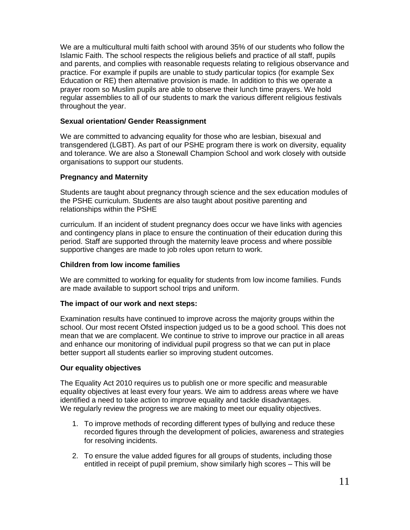We are a multicultural multi faith school with around 35% of our students who follow the Islamic Faith. The school respects the religious beliefs and practice of all staff, pupils and parents, and complies with reasonable requests relating to religious observance and practice. For example if pupils are unable to study particular topics (for example Sex Education or RE) then alternative provision is made. In addition to this we operate a prayer room so Muslim pupils are able to observe their lunch time prayers. We hold regular assemblies to all of our students to mark the various different religious festivals throughout the year.

#### **Sexual orientation/ Gender Reassignment**

We are committed to advancing equality for those who are lesbian, bisexual and transgendered (LGBT). As part of our PSHE program there is work on diversity, equality and tolerance. We are also a Stonewall Champion School and work closely with outside organisations to support our students.

#### **Pregnancy and Maternity**

Students are taught about pregnancy through science and the sex education modules of the PSHE curriculum. Students are also taught about positive parenting and relationships within the PSHE

curriculum. If an incident of student pregnancy does occur we have links with agencies and contingency plans in place to ensure the continuation of their education during this period. Staff are supported through the maternity leave process and where possible supportive changes are made to job roles upon return to work.

#### **Children from low income families**

We are committed to working for equality for students from low income families. Funds are made available to support school trips and uniform.

#### **The impact of our work and next steps:**

Examination results have continued to improve across the majority groups within the school. Our most recent Ofsted inspection judged us to be a good school. This does not mean that we are complacent. We continue to strive to improve our practice in all areas and enhance our monitoring of individual pupil progress so that we can put in place better support all students earlier so improving student outcomes.

#### **Our equality objectives**

The Equality Act 2010 requires us to publish one or more specific and measurable equality objectives at least every four years. We aim to address areas where we have identified a need to take action to improve equality and tackle disadvantages. We regularly review the progress we are making to meet our equality objectives.

- 1. To improve methods of recording different types of bullying and reduce these recorded figures through the development of policies, awareness and strategies for resolving incidents.
- 2. To ensure the value added figures for all groups of students, including those entitled in receipt of pupil premium, show similarly high scores – This will be